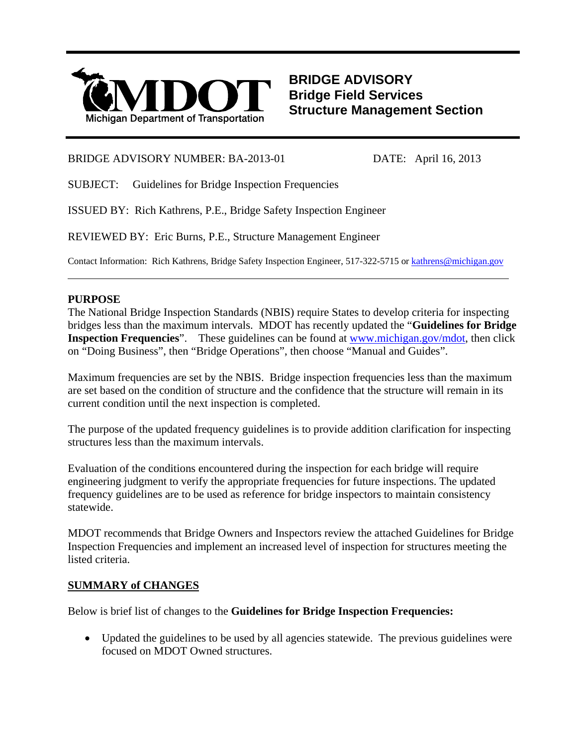

#### BRIDGE ADVISORY NUMBER: BA-2013-01 DATE: April 16, 2013

SUBJECT: Guidelines for Bridge Inspection Frequencies

ISSUED BY: Rich Kathrens, P.E., Bridge Safety Inspection Engineer

REVIEWED BY: Eric Burns, P.E., Structure Management Engineer

Contact Information: Rich Kathrens, Bridge Safety Inspection Engineer, 517-322-5715 or kathrens@michigan.gov

## **PURPOSE**

l

The National Bridge Inspection Standards (NBIS) require States to develop criteria for inspecting bridges less than the maximum intervals. MDOT has recently updated the "**Guidelines for Bridge Inspection Frequencies**". These guidelines can be found at www.michigan.gov/mdot, then click on "Doing Business", then "Bridge Operations", then choose "Manual and Guides".

Maximum frequencies are set by the NBIS. Bridge inspection frequencies less than the maximum are set based on the condition of structure and the confidence that the structure will remain in its current condition until the next inspection is completed.

The purpose of the updated frequency guidelines is to provide addition clarification for inspecting structures less than the maximum intervals.

Evaluation of the conditions encountered during the inspection for each bridge will require engineering judgment to verify the appropriate frequencies for future inspections. The updated frequency guidelines are to be used as reference for bridge inspectors to maintain consistency statewide.

MDOT recommends that Bridge Owners and Inspectors review the attached Guidelines for Bridge Inspection Frequencies and implement an increased level of inspection for structures meeting the listed criteria.

# **SUMMARY of CHANGES**

Below is brief list of changes to the **Guidelines for Bridge Inspection Frequencies:**

 Updated the guidelines to be used by all agencies statewide. The previous guidelines were focused on MDOT Owned structures.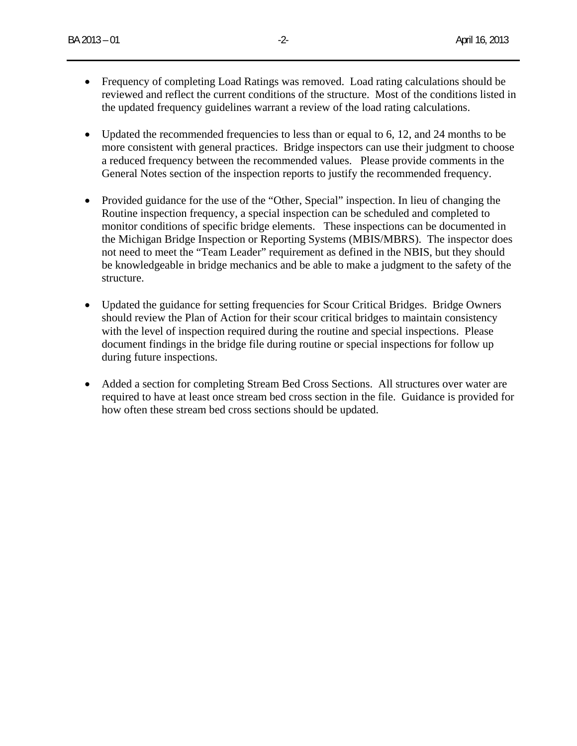- Frequency of completing Load Ratings was removed. Load rating calculations should be reviewed and reflect the current conditions of the structure. Most of the conditions listed in the updated frequency guidelines warrant a review of the load rating calculations.
- Updated the recommended frequencies to less than or equal to 6, 12, and 24 months to be more consistent with general practices. Bridge inspectors can use their judgment to choose a reduced frequency between the recommended values. Please provide comments in the General Notes section of the inspection reports to justify the recommended frequency.
- Provided guidance for the use of the "Other, Special" inspection. In lieu of changing the Routine inspection frequency, a special inspection can be scheduled and completed to monitor conditions of specific bridge elements. These inspections can be documented in the Michigan Bridge Inspection or Reporting Systems (MBIS/MBRS). The inspector does not need to meet the "Team Leader" requirement as defined in the NBIS, but they should be knowledgeable in bridge mechanics and be able to make a judgment to the safety of the structure.
- Updated the guidance for setting frequencies for Scour Critical Bridges. Bridge Owners should review the Plan of Action for their scour critical bridges to maintain consistency with the level of inspection required during the routine and special inspections. Please document findings in the bridge file during routine or special inspections for follow up during future inspections.
- Added a section for completing Stream Bed Cross Sections. All structures over water are required to have at least once stream bed cross section in the file. Guidance is provided for how often these stream bed cross sections should be updated.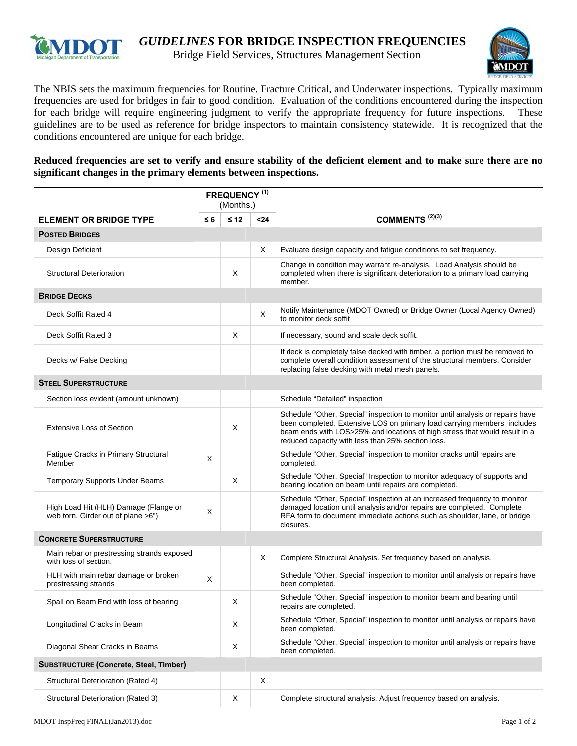

# **IMIDOT** *GUIDELINES* FOR BRIDGE INSPECTION FREQUENCIES

Bridge Field Services, Structures Management Section



The NBIS sets the maximum frequencies for Routine, Fracture Critical, and Underwater inspections. Typically maximum frequencies are used for bridges in fair to good condition. Evaluation of the conditions encountered during the inspection for each bridge will require engineering judgment to verify the appropriate frequency for future inspections. These guidelines are to be used as reference for bridge inspectors to maintain consistency statewide. It is recognized that the conditions encountered are unique for each bridge.

#### **Reduced frequencies are set to verify and ensure stability of the deficient element and to make sure there are no significant changes in the primary elements between inspections.**

|                                                                             | <b>FREQUENCY (1)</b><br>(Months.) |           |      |                                                                                                                                                                                                                                                                                              |  |  |  |
|-----------------------------------------------------------------------------|-----------------------------------|-----------|------|----------------------------------------------------------------------------------------------------------------------------------------------------------------------------------------------------------------------------------------------------------------------------------------------|--|--|--|
| <b>ELEMENT OR BRIDGE TYPE</b>                                               | $\leq 6$                          | $\leq 12$ | $24$ | COMMENTS <sup>(2)(3)</sup>                                                                                                                                                                                                                                                                   |  |  |  |
| <b>POSTED BRIDGES</b>                                                       |                                   |           |      |                                                                                                                                                                                                                                                                                              |  |  |  |
| Design Deficient                                                            |                                   |           | Χ    | Evaluate design capacity and fatigue conditions to set frequency.                                                                                                                                                                                                                            |  |  |  |
| <b>Structural Deterioration</b>                                             |                                   | X         |      | Change in condition may warrant re-analysis. Load Analysis should be<br>completed when there is significant deterioration to a primary load carrying<br>member.                                                                                                                              |  |  |  |
| <b>BRIDGE DECKS</b>                                                         |                                   |           |      |                                                                                                                                                                                                                                                                                              |  |  |  |
| Deck Soffit Rated 4                                                         |                                   |           | Χ    | Notify Maintenance (MDOT Owned) or Bridge Owner (Local Agency Owned)<br>to monitor deck soffit                                                                                                                                                                                               |  |  |  |
| Deck Soffit Rated 3                                                         |                                   | X         |      | If necessary, sound and scale deck soffit.                                                                                                                                                                                                                                                   |  |  |  |
| Decks w/ False Decking                                                      |                                   |           |      | If deck is completely false decked with timber, a portion must be removed to<br>complete overall condition assessment of the structural members. Consider<br>replacing false decking with metal mesh panels.                                                                                 |  |  |  |
| <b>STEEL SUPERSTRUCTURE</b>                                                 |                                   |           |      |                                                                                                                                                                                                                                                                                              |  |  |  |
| Section loss evident (amount unknown)                                       |                                   |           |      | Schedule "Detailed" inspection                                                                                                                                                                                                                                                               |  |  |  |
| <b>Extensive Loss of Section</b>                                            |                                   | X         |      | Schedule "Other, Special" inspection to monitor until analysis or repairs have<br>been completed. Extensive LOS on primary load carrying members includes<br>beam ends with LOS>25% and locations of high stress that would result in a<br>reduced capacity with less than 25% section loss. |  |  |  |
| Fatigue Cracks in Primary Structural<br>Member                              | Χ                                 |           |      | Schedule "Other, Special" inspection to monitor cracks until repairs are<br>completed.                                                                                                                                                                                                       |  |  |  |
| <b>Temporary Supports Under Beams</b>                                       |                                   | X         |      | Schedule "Other, Special" Inspection to monitor adequacy of supports and<br>bearing location on beam until repairs are completed.                                                                                                                                                            |  |  |  |
| High Load Hit (HLH) Damage (Flange or<br>web torn, Girder out of plane >6") | X                                 |           |      | Schedule "Other, Special" inspection at an increased frequency to monitor<br>damaged location until analysis and/or repairs are completed. Complete<br>RFA form to document immediate actions such as shoulder, lane, or bridge<br>closures.                                                 |  |  |  |
| <b>CONCRETE SUPERSTRUCTURE</b>                                              |                                   |           |      |                                                                                                                                                                                                                                                                                              |  |  |  |
| Main rebar or prestressing strands exposed<br>with loss of section.         |                                   |           | Χ    | Complete Structural Analysis. Set frequency based on analysis.                                                                                                                                                                                                                               |  |  |  |
| HLH with main rebar damage or broken<br>prestressing strands                | X                                 |           |      | Schedule "Other, Special" inspection to monitor until analysis or repairs have<br>been completed.                                                                                                                                                                                            |  |  |  |
| Spall on Beam End with loss of bearing                                      |                                   | Χ         |      | Schedule "Other, Special" inspection to monitor beam and bearing until<br>repairs are completed.                                                                                                                                                                                             |  |  |  |
| Longitudinal Cracks in Beam                                                 |                                   | Χ         |      | Schedule "Other, Special" inspection to monitor until analysis or repairs have<br>been completed.                                                                                                                                                                                            |  |  |  |
| Diagonal Shear Cracks in Beams                                              |                                   | X         |      | Schedule "Other, Special" inspection to monitor until analysis or repairs have<br>been completed.                                                                                                                                                                                            |  |  |  |
| SUBSTRUCTURE (Concrete, Steel, Timber)                                      |                                   |           |      |                                                                                                                                                                                                                                                                                              |  |  |  |
| Structural Deterioration (Rated 4)                                          |                                   |           | Χ    |                                                                                                                                                                                                                                                                                              |  |  |  |
| Structural Deterioration (Rated 3)                                          |                                   | X         |      | Complete structural analysis. Adjust frequency based on analysis.                                                                                                                                                                                                                            |  |  |  |